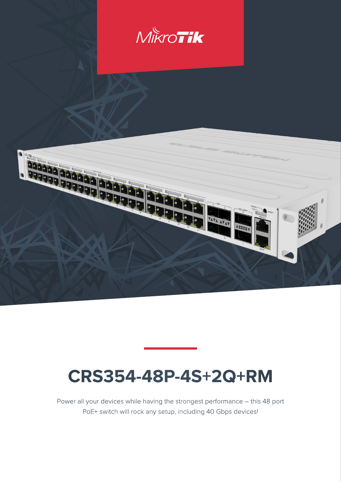

# **CRS354-48P-4S+2Q+RM**

Power all your devices while having the strongest performance – this 48 port PoE+ switch will rock any setup, including 40 Gbps devices!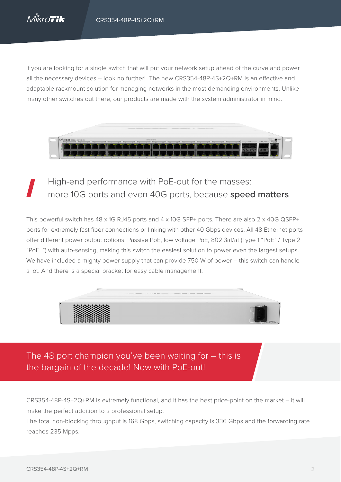If you are looking for a single switch that will put your network setup ahead of the curve and power all the necessary devices – look no further! The new CRS354-48P-4S+2Q+RM is an effective and adaptable rackmount solution for managing networks in the most demanding environments. Unlike many other switches out there, our products are made with the system administrator in mind.



# High-end performance with PoE-out for the masses: more 10G ports and even 40G ports, because **speed matters**

This powerful switch has 48 x 1G RJ45 ports and 4 x 10G SFP+ ports. There are also 2 x 40G QSFP+ ports for extremely fast fiber connections or linking with other 40 Gbps devices. All 48 Ethernet ports offer different power output options: Passive PoE, low voltage PoE, 802.3af/at (Type 1 "PoE" / Type 2 "PoE+") with auto-sensing, making this switch the easiest solution to power even the largest setups. We have included a mighty power supply that can provide 750 W of power – this switch can handle a lot. And there is a special bracket for easy cable management.



The 48 port champion you've been waiting for – this is the bargain of the decade! Now with PoE-out!

CRS354-48P-4S+2Q+RM is extremely functional, and it has the best price-point on the market – it will make the perfect addition to a professional setup.

The total non-blocking throughput is 168 Gbps, switching capacity is 336 Gbps and the forwarding rate reaches 235 Mpps.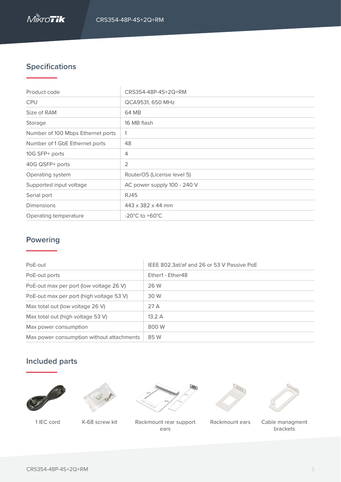

# **Specifications**

| Product code                      | CRS354-48P-4S+2Q+RM                |
|-----------------------------------|------------------------------------|
| <b>CPU</b>                        | QCA9531, 650 MHz                   |
| Size of RAM                       | 64 MB                              |
| Storage                           | 16 MB flash                        |
| Number of 100 Mbps Ethernet ports |                                    |
| Number of 1 GbE Ethernet ports    | 48                                 |
| 10G SFP+ ports                    | 4                                  |
| 40G QSFP+ ports                   | 2                                  |
| Operating system                  | RouterOS (License level 5)         |
| Supported input voltage           | AC power supply 100 - 240 V        |
| Serial port                       | RJ45                               |
| <b>Dimensions</b>                 | 443 x 382 x 44 mm                  |
| Operating temperature             | $-20^{\circ}$ C to $+60^{\circ}$ C |

#### **Powering**

| PoE-out                                   | IEEE 802.3at/af and 26 or 53 V Passive PoE |
|-------------------------------------------|--------------------------------------------|
| PoE-out ports                             | Ether1 - Ether48                           |
| PoE-out max per port (low voltage 26 V)   | 26 W                                       |
| PoE-out max per port (high voltage 53 V)  | 30 W                                       |
| Max total out (low voltage 26 V)          | 27A                                        |
| Max total out (high voltage 53 V)         | 13.2A                                      |
| Max power consumption                     | 800 W                                      |
| Max power consumption without attachments | 85 W                                       |

### **Included parts**







1 IEC cord K-68 screw kit Rackmount ears Cable managment Rackmount rear support ears





brackets